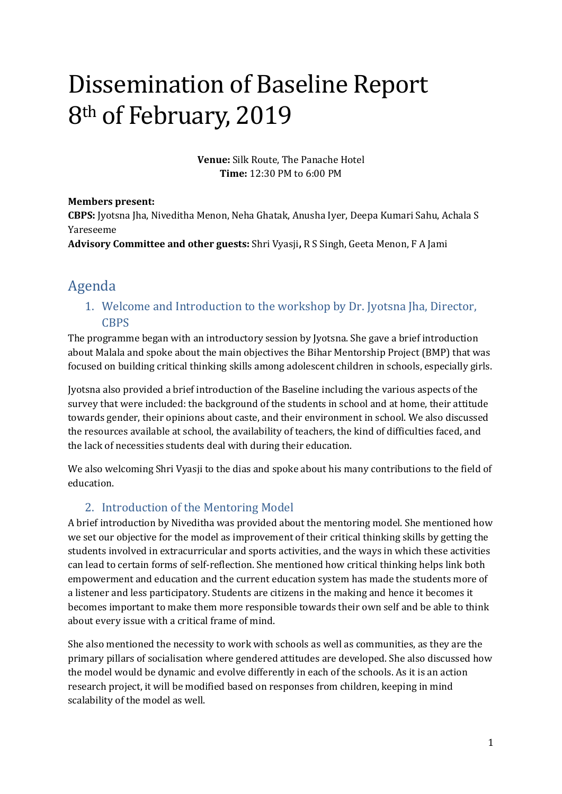# Dissemination of Baseline Report 8th of February, 2019

**Venue:** Silk Route, The Panache Hotel **Time:** 12:30 PM to 6:00 PM

#### **Members present:**

**CBPS:** Jyotsna Jha, Niveditha Menon, Neha Ghatak, Anusha Iyer, Deepa Kumari Sahu, Achala S Yareseeme

**Advisory Committee and other guests:** Shri Vyasji**,** R S Singh, Geeta Menon, F A Jami

# Agenda

1. Welcome and Introduction to the workshop by Dr. Jyotsna Jha, Director, **CBPS** 

The programme began with an introductory session by Jyotsna. She gave a brief introduction about Malala and spoke about the main objectives the Bihar Mentorship Project (BMP) that was focused on building critical thinking skills among adolescent children in schools, especially girls.

Jyotsna also provided a brief introduction of the Baseline including the various aspects of the survey that were included: the background of the students in school and at home, their attitude towards gender, their opinions about caste, and their environment in school. We also discussed the resources available at school, the availability of teachers, the kind of difficulties faced, and the lack of necessities students deal with during their education.

We also welcoming Shri Vyasji to the dias and spoke about his many contributions to the field of education.

## 2. Introduction of the Mentoring Model

A brief introduction by Niveditha was provided about the mentoring model. She mentioned how we set our objective for the model as improvement of their critical thinking skills by getting the students involved in extracurricular and sports activities, and the ways in which these activities can lead to certain forms of self-reflection. She mentioned how critical thinking helps link both empowerment and education and the current education system has made the students more of a listener and less participatory. Students are citizens in the making and hence it becomes it becomes important to make them more responsible towards their own self and be able to think about every issue with a critical frame of mind.

She also mentioned the necessity to work with schools as well as communities, as they are the primary pillars of socialisation where gendered attitudes are developed. She also discussed how the model would be dynamic and evolve differently in each of the schools. As it is an action research project, it will be modified based on responses from children, keeping in mind scalability of the model as well.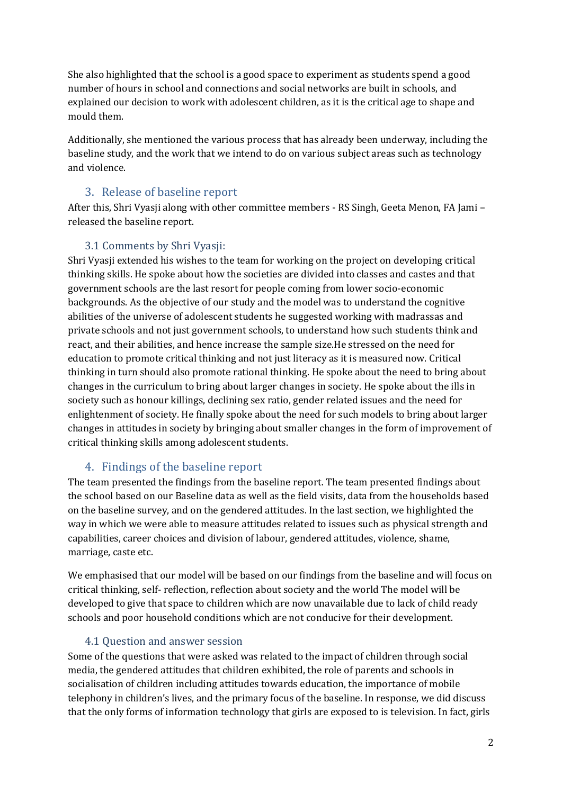She also highlighted that the school is a good space to experiment as students spend a good number of hours in school and connections and social networks are built in schools, and explained our decision to work with adolescent children, as it is the critical age to shape and mould them.

Additionally, she mentioned the various process that has already been underway, including the baseline study, and the work that we intend to do on various subject areas such as technology and violence.

#### 3. Release of baseline report

After this, Shri Vyasji along with other committee members - RS Singh, Geeta Menon, FA Jami – released the baseline report.

#### 3.1 Comments by Shri Vyasji:

Shri Vyasji extended his wishes to the team for working on the project on developing critical thinking skills. He spoke about how the societies are divided into classes and castes and that government schools are the last resort for people coming from lower socio-economic backgrounds. As the objective of our study and the model was to understand the cognitive abilities of the universe of adolescent students he suggested working with madrassas and private schools and not just government schools, to understand how such students think and react, and their abilities, and hence increase the sample size.He stressed on the need for education to promote critical thinking and not just literacy as it is measured now. Critical thinking in turn should also promote rational thinking. He spoke about the need to bring about changes in the curriculum to bring about larger changes in society. He spoke about the ills in society such as honour killings, declining sex ratio, gender related issues and the need for enlightenment of society. He finally spoke about the need for such models to bring about larger changes in attitudes in society by bringing about smaller changes in the form of improvement of critical thinking skills among adolescent students.

## 4. Findings of the baseline report

The team presented the findings from the baseline report. The team presented findings about the school based on our Baseline data as well as the field visits, data from the households based on the baseline survey, and on the gendered attitudes. In the last section, we highlighted the way in which we were able to measure attitudes related to issues such as physical strength and capabilities, career choices and division of labour, gendered attitudes, violence, shame, marriage, caste etc.

We emphasised that our model will be based on our findings from the baseline and will focus on critical thinking, self- reflection, reflection about society and the world The model will be developed to give that space to children which are now unavailable due to lack of child ready schools and poor household conditions which are not conducive for their development.

#### 4.1 Question and answer session

Some of the questions that were asked was related to the impact of children through social media, the gendered attitudes that children exhibited, the role of parents and schools in socialisation of children including attitudes towards education, the importance of mobile telephony in children's lives, and the primary focus of the baseline. In response, we did discuss that the only forms of information technology that girls are exposed to is television. In fact, girls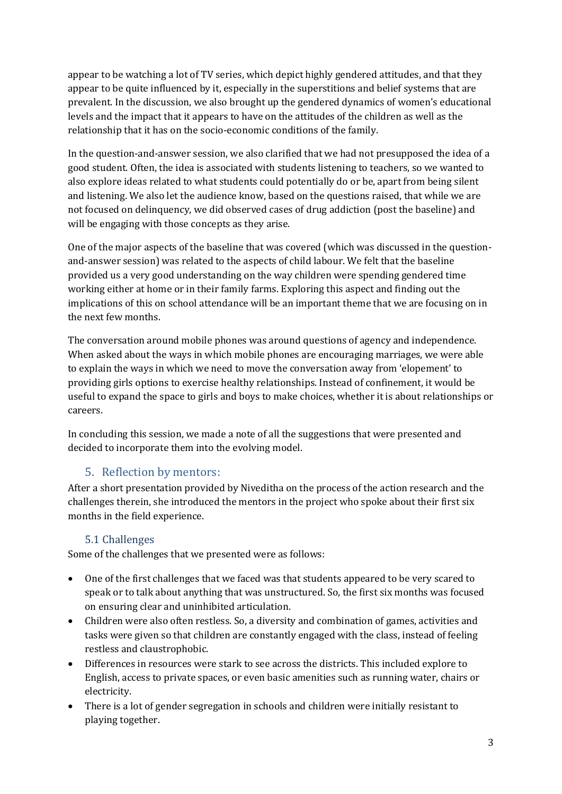appear to be watching a lot of TV series, which depict highly gendered attitudes, and that they appear to be quite influenced by it, especially in the superstitions and belief systems that are prevalent. In the discussion, we also brought up the gendered dynamics of women's educational levels and the impact that it appears to have on the attitudes of the children as well as the relationship that it has on the socio-economic conditions of the family.

In the question-and-answer session, we also clarified that we had not presupposed the idea of a good student. Often, the idea is associated with students listening to teachers, so we wanted to also explore ideas related to what students could potentially do or be, apart from being silent and listening. We also let the audience know, based on the questions raised, that while we are not focused on delinquency, we did observed cases of drug addiction (post the baseline) and will be engaging with those concepts as they arise.

One of the major aspects of the baseline that was covered (which was discussed in the questionand-answer session) was related to the aspects of child labour. We felt that the baseline provided us a very good understanding on the way children were spending gendered time working either at home or in their family farms. Exploring this aspect and finding out the implications of this on school attendance will be an important theme that we are focusing on in the next few months.

The conversation around mobile phones was around questions of agency and independence. When asked about the ways in which mobile phones are encouraging marriages, we were able to explain the ways in which we need to move the conversation away from 'elopement' to providing girls options to exercise healthy relationships. Instead of confinement, it would be useful to expand the space to girls and boys to make choices, whether it is about relationships or careers.

In concluding this session, we made a note of all the suggestions that were presented and decided to incorporate them into the evolving model.

#### 5. Reflection by mentors:

After a short presentation provided by Niveditha on the process of the action research and the challenges therein, she introduced the mentors in the project who spoke about their first six months in the field experience.

#### 5.1 Challenges

Some of the challenges that we presented were as follows:

- One of the first challenges that we faced was that students appeared to be very scared to speak or to talk about anything that was unstructured. So, the first six months was focused on ensuring clear and uninhibited articulation.
- Children were also often restless. So, a diversity and combination of games, activities and tasks were given so that children are constantly engaged with the class, instead of feeling restless and claustrophobic.
- Differences in resources were stark to see across the districts. This included explore to English, access to private spaces, or even basic amenities such as running water, chairs or electricity.
- There is a lot of gender segregation in schools and children were initially resistant to playing together.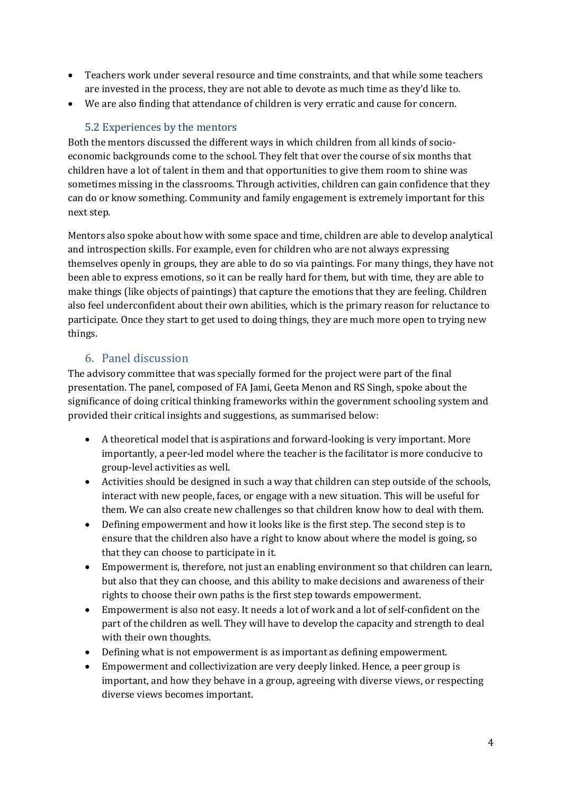- Teachers work under several resource and time constraints, and that while some teachers are invested in the process, they are not able to devote as much time as they'd like to.
- We are also finding that attendance of children is very erratic and cause for concern.

#### 5.2 Experiences by the mentors

Both the mentors discussed the different ways in which children from all kinds of socioeconomic backgrounds come to the school. They felt that over the course of six months that children have a lot of talent in them and that opportunities to give them room to shine was sometimes missing in the classrooms. Through activities, children can gain confidence that they can do or know something. Community and family engagement is extremely important for this next step.

Mentors also spoke about how with some space and time, children are able to develop analytical and introspection skills. For example, even for children who are not always expressing themselves openly in groups, they are able to do so via paintings. For many things, they have not been able to express emotions, so it can be really hard for them, but with time, they are able to make things (like objects of paintings) that capture the emotions that they are feeling. Children also feel underconfident about their own abilities, which is the primary reason for reluctance to participate. Once they start to get used to doing things, they are much more open to trying new things.

#### 6. Panel discussion

The advisory committee that was specially formed for the project were part of the final presentation. The panel, composed of FA Jami, Geeta Menon and RS Singh, spoke about the significance of doing critical thinking frameworks within the government schooling system and provided their critical insights and suggestions, as summarised below:

- A theoretical model that is aspirations and forward-looking is very important. More importantly, a peer-led model where the teacher is the facilitator is more conducive to group-level activities as well.
- Activities should be designed in such a way that children can step outside of the schools, interact with new people, faces, or engage with a new situation. This will be useful for them. We can also create new challenges so that children know how to deal with them.
- Defining empowerment and how it looks like is the first step. The second step is to ensure that the children also have a right to know about where the model is going, so that they can choose to participate in it.
- Empowerment is, therefore, not just an enabling environment so that children can learn, but also that they can choose, and this ability to make decisions and awareness of their rights to choose their own paths is the first step towards empowerment.
- Empowerment is also not easy. It needs a lot of work and a lot of self-confident on the part of the children as well. They will have to develop the capacity and strength to deal with their own thoughts.
- Defining what is not empowerment is as important as defining empowerment.
- Empowerment and collectivization are very deeply linked. Hence, a peer group is important, and how they behave in a group, agreeing with diverse views, or respecting diverse views becomes important.